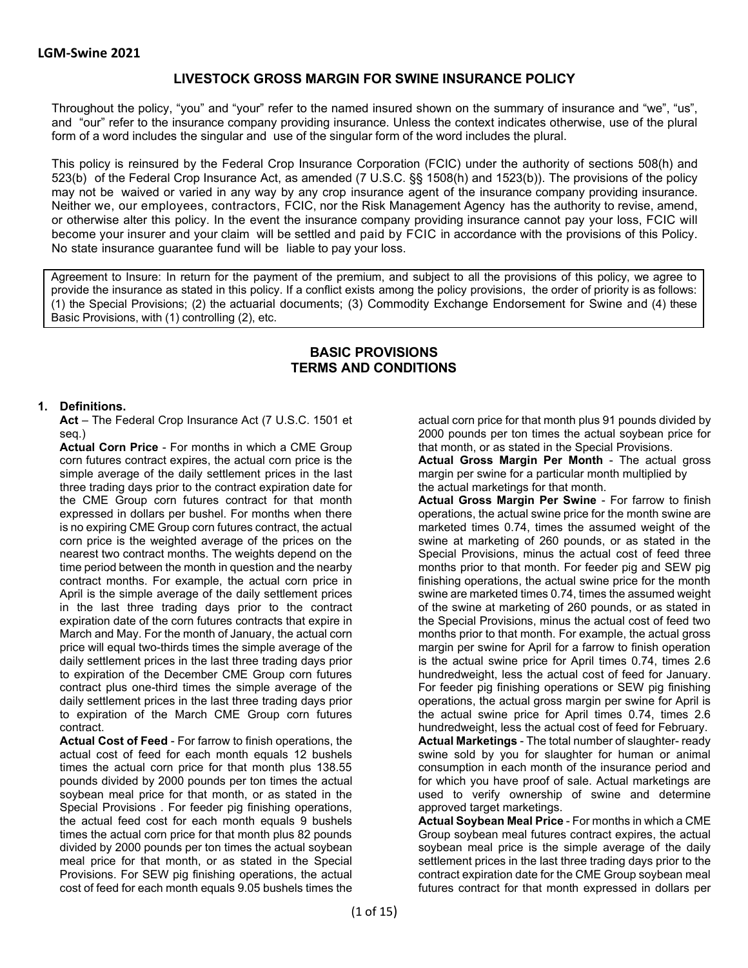# **LIVESTOCK GROSS MARGIN FOR SWINE INSURANCE POLICY**

Throughout the policy, "you" and "your" refer to the named insured shown on the summary of insurance and "we", "us", and "our" refer to the insurance company providing insurance. Unless the context indicates otherwise, use of the plural form of a word includes the singular and use of the singular form of the word includes the plural.

This policy is reinsured by the Federal Crop Insurance Corporation (FCIC) under the authority of sections 508(h) and 523(b) of the Federal Crop Insurance Act, as amended (7 U.S.C. §§ 1508(h) and 1523(b)). The provisions of the policy may not be waived or varied in any way by any crop insurance agent of the insurance company providing insurance. Neither we, our employees, contractors, FCIC, nor the Risk Management Agency has the authority to revise, amend, or otherwise alter this policy. In the event the insurance company providing insurance cannot pay your loss, FCIC will become your insurer and your claim will be settled and paid by FCIC in accordance with the provisions of this Policy. No state insurance guarantee fund will be liable to pay your loss.

Agreement to Insure: In return for the payment of the premium, and subject to all the provisions of this policy, we agree to provide the insurance as stated in this policy. If a conflict exists among the policy provisions, the order of priority is as follows: (1) the Special Provisions; (2) the actuarial documents; (3) Commodity Exchange Endorsement for Swine and (4) these Basic Provisions, with (1) controlling (2), etc.

# **BASIC PROVISIONS TERMS AND CONDITIONS**

#### **1. Definitions.**

**Act** – The Federal Crop Insurance Act (7 U.S.C. 1501 et seq.)

**Actual Corn Price** - For months in which a CME Group corn futures contract expires, the actual corn price is the simple average of the daily settlement prices in the last three trading days prior to the contract expiration date for the CME Group corn futures contract for that month expressed in dollars per bushel. For months when there is no expiring CME Group corn futures contract, the actual corn price is the weighted average of the prices on the nearest two contract months. The weights depend on the time period between the month in question and the nearby contract months. For example, the actual corn price in April is the simple average of the daily settlement prices in the last three trading days prior to the contract expiration date of the corn futures contracts that expire in March and May. For the month of January, the actual corn price will equal two-thirds times the simple average of the daily settlement prices in the last three trading days prior to expiration of the December CME Group corn futures contract plus one-third times the simple average of the daily settlement prices in the last three trading days prior to expiration of the March CME Group corn futures contract.

**Actual Cost of Feed** - For farrow to finish operations, the actual cost of feed for each month equals 12 bushels times the actual corn price for that month plus 138.55 pounds divided by 2000 pounds per ton times the actual soybean meal price for that month, or as stated in the Special Provisions . For feeder pig finishing operations, the actual feed cost for each month equals 9 bushels times the actual corn price for that month plus 82 pounds divided by 2000 pounds per ton times the actual soybean meal price for that month, or as stated in the Special Provisions. For SEW pig finishing operations, the actual cost of feed for each month equals 9.05 bushels times the

actual corn price for that month plus 91 pounds divided by 2000 pounds per ton times the actual soybean price for that month, or as stated in the Special Provisions.

**Actual Gross Margin Per Month** - The actual gross margin per swine for a particular month multiplied by the actual marketings for that month.

**Actual Gross Margin Per Swine** - For farrow to finish operations, the actual swine price for the month swine are marketed times 0.74, times the assumed weight of the swine at marketing of 260 pounds, or as stated in the Special Provisions, minus the actual cost of feed three months prior to that month. For feeder pig and SEW pig finishing operations, the actual swine price for the month swine are marketed times 0.74, times the assumed weight of the swine at marketing of 260 pounds, or as stated in the Special Provisions, minus the actual cost of feed two months prior to that month. For example, the actual gross margin per swine for April for a farrow to finish operation is the actual swine price for April times 0.74, times 2.6 hundredweight, less the actual cost of feed for January. For feeder pig finishing operations or SEW pig finishing operations, the actual gross margin per swine for April is the actual swine price for April times 0.74, times 2.6 hundredweight, less the actual cost of feed for February. **Actual Marketings** - The total number of slaughter- ready swine sold by you for slaughter for human or animal consumption in each month of the insurance period and for which you have proof of sale. Actual marketings are used to verify ownership of swine and determine approved target marketings.

**Actual Soybean Meal Price** - For months in which a CME Group soybean meal futures contract expires, the actual soybean meal price is the simple average of the daily settlement prices in the last three trading days prior to the contract expiration date for the CME Group soybean meal futures contract for that month expressed in dollars per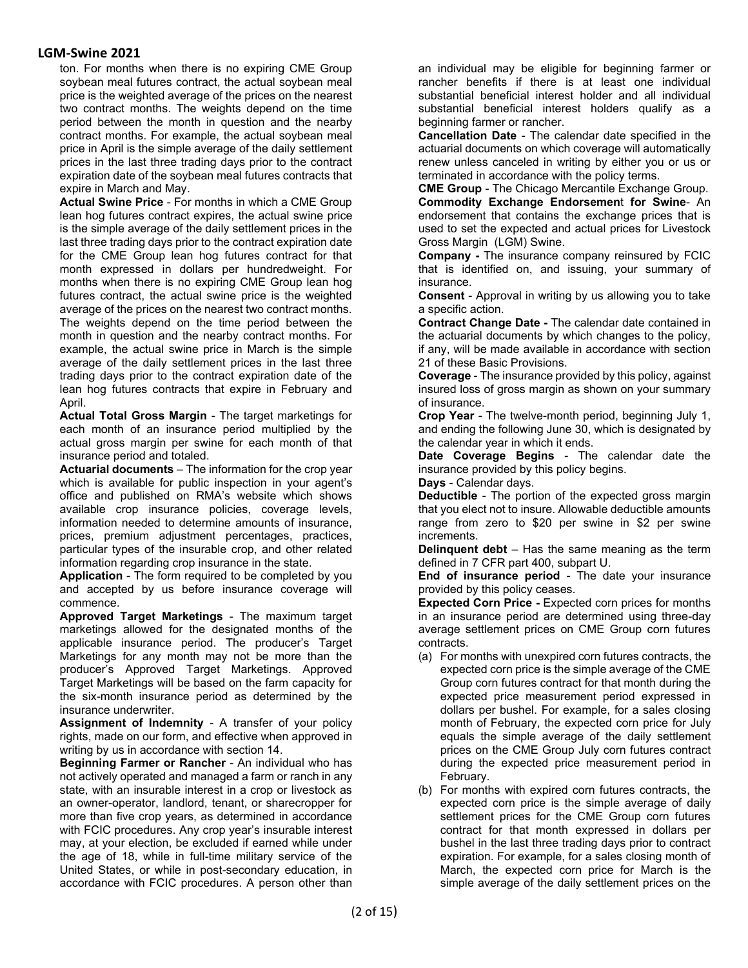ton. For months when there is no expiring CME Group soybean meal futures contract, the actual soybean meal price is the weighted average of the prices on the nearest two contract months. The weights depend on the time period between the month in question and the nearby contract months. For example, the actual soybean meal price in April is the simple average of the daily settlement prices in the last three trading days prior to the contract expiration date of the soybean meal futures contracts that expire in March and May.

**Actual Swine Price** - For months in which a CME Group lean hog futures contract expires, the actual swine price is the simple average of the daily settlement prices in the last three trading days prior to the contract expiration date for the CME Group lean hog futures contract for that month expressed in dollars per hundredweight. For months when there is no expiring CME Group lean hog futures contract, the actual swine price is the weighted average of the prices on the nearest two contract months. The weights depend on the time period between the month in question and the nearby contract months. For example, the actual swine price in March is the simple average of the daily settlement prices in the last three trading days prior to the contract expiration date of the lean hog futures contracts that expire in February and April.

**Actual Total Gross Margin** - The target marketings for each month of an insurance period multiplied by the actual gross margin per swine for each month of that insurance period and totaled.

**Actuarial documents** – The information for the crop year which is available for public inspection in your agent's office and published on RMA's website which shows available crop insurance policies, coverage levels, information needed to determine amounts of insurance, prices, premium adjustment percentages, practices, particular types of the insurable crop, and other related information regarding crop insurance in the state.

**Application** - The form required to be completed by you and accepted by us before insurance coverage will commence.

**Approved Target Marketings** - The maximum target marketings allowed for the designated months of the applicable insurance period. The producer's Target Marketings for any month may not be more than the producer's Approved Target Marketings. Approved Target Marketings will be based on the farm capacity for the six-month insurance period as determined by the insurance underwriter.

**Assignment of Indemnity** - A transfer of your policy rights, made on our form, and effective when approved in writing by us in accordance with section 14.

**Beginning Farmer or Rancher** - An individual who has not actively operated and managed a farm or ranch in any state, with an insurable interest in a crop or livestock as an owner-operator, landlord, tenant, or sharecropper for more than five crop years, as determined in accordance with FCIC procedures. Any crop year's insurable interest may, at your election, be excluded if earned while under the age of 18, while in full-time military service of the United States, or while in post-secondary education, in accordance with FCIC procedures. A person other than

an individual may be eligible for beginning farmer or rancher benefits if there is at least one individual substantial beneficial interest holder and all individual substantial beneficial interest holders qualify as a beginning farmer or rancher.

**Cancellation Date** - The calendar date specified in the actuarial documents on which coverage will automatically renew unless canceled in writing by either you or us or terminated in accordance with the policy terms.

**CME Group** - The Chicago Mercantile Exchange Group. **Commodity Exchange Endorsemen**t **for Swine**- An endorsement that contains the exchange prices that is used to set the expected and actual prices for Livestock Gross Margin (LGM) Swine.

**Company -** The insurance company reinsured by FCIC that is identified on, and issuing, your summary of insurance.

**Consent** - Approval in writing by us allowing you to take a specific action.

**Contract Change Date -** The calendar date contained in the actuarial documents by which changes to the policy, if any, will be made available in accordance with section 21 of these Basic Provisions.

**Coverage** - The insurance provided by this policy, against insured loss of gross margin as shown on your summary of insurance.

**Crop Year** - The twelve-month period, beginning July 1, and ending the following June 30, which is designated by the calendar year in which it ends.

**Date Coverage Begins** - The calendar date the insurance provided by this policy begins.

**Days** - Calendar days.

**Deductible** - The portion of the expected gross margin that you elect not to insure. Allowable deductible amounts range from zero to \$20 per swine in \$2 per swine increments.

**Delinquent debt** – Has the same meaning as the term defined in 7 CFR part 400, subpart U.

**End of insurance period** - The date your insurance provided by this policy ceases.

**Expected Corn Price -** Expected corn prices for months in an insurance period are determined using three-day average settlement prices on CME Group corn futures contracts.

- (a) For months with unexpired corn futures contracts, the expected corn price is the simple average of the CME Group corn futures contract for that month during the expected price measurement period expressed in dollars per bushel. For example, for a sales closing month of February, the expected corn price for July equals the simple average of the daily settlement prices on the CME Group July corn futures contract during the expected price measurement period in February.
- (b) For months with expired corn futures contracts, the expected corn price is the simple average of daily settlement prices for the CME Group corn futures contract for that month expressed in dollars per bushel in the last three trading days prior to contract expiration. For example, for a sales closing month of March, the expected corn price for March is the simple average of the daily settlement prices on the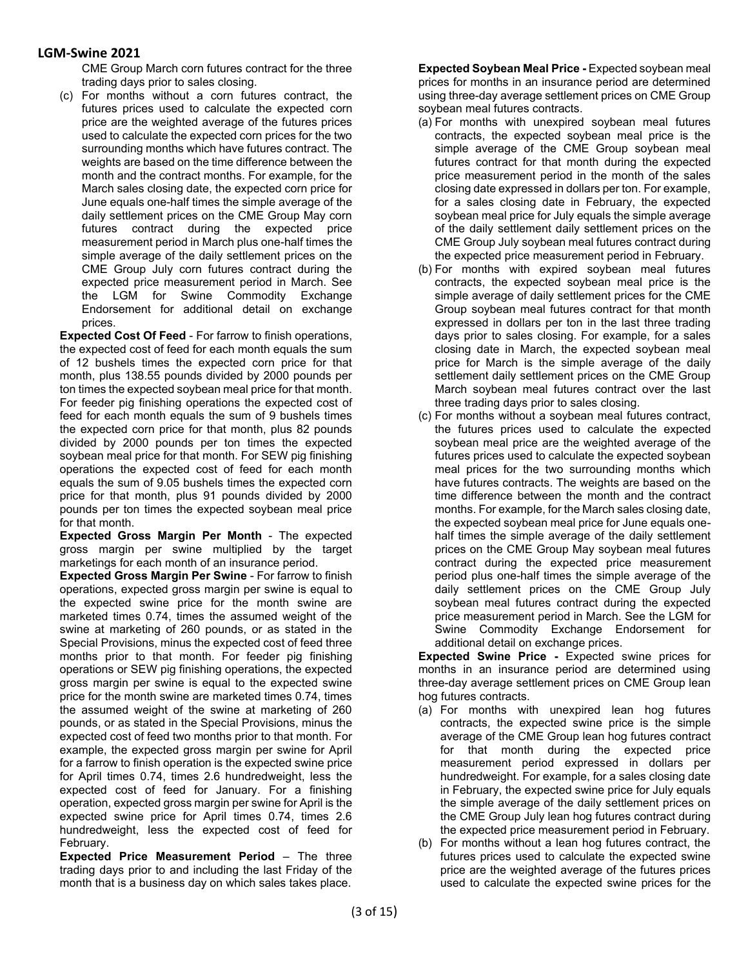CME Group March corn futures contract for the three trading days prior to sales closing.

(c) For months without a corn futures contract, the futures prices used to calculate the expected corn price are the weighted average of the futures prices used to calculate the expected corn prices for the two surrounding months which have futures contract. The weights are based on the time difference between the month and the contract months. For example, for the March sales closing date, the expected corn price for June equals one-half times the simple average of the daily settlement prices on the CME Group May corn futures contract during the expected price measurement period in March plus one-half times the simple average of the daily settlement prices on the CME Group July corn futures contract during the expected price measurement period in March. See the LGM for Swine Commodity Exchange Endorsement for additional detail on exchange prices.

**Expected Cost Of Feed** - For farrow to finish operations, the expected cost of feed for each month equals the sum of 12 bushels times the expected corn price for that month, plus 138.55 pounds divided by 2000 pounds per ton times the expected soybean meal price for that month. For feeder pig finishing operations the expected cost of feed for each month equals the sum of 9 bushels times the expected corn price for that month, plus 82 pounds divided by 2000 pounds per ton times the expected soybean meal price for that month. For SEW pig finishing operations the expected cost of feed for each month equals the sum of 9.05 bushels times the expected corn price for that month, plus 91 pounds divided by 2000 pounds per ton times the expected soybean meal price for that month.

**Expected Gross Margin Per Month** - The expected gross margin per swine multiplied by the target marketings for each month of an insurance period.

**Expected Gross Margin Per Swine** - For farrow to finish operations, expected gross margin per swine is equal to the expected swine price for the month swine are marketed times 0.74, times the assumed weight of the swine at marketing of 260 pounds, or as stated in the Special Provisions, minus the expected cost of feed three months prior to that month. For feeder pig finishing operations or SEW pig finishing operations, the expected gross margin per swine is equal to the expected swine price for the month swine are marketed times 0.74, times the assumed weight of the swine at marketing of 260 pounds, or as stated in the Special Provisions, minus the expected cost of feed two months prior to that month. For example, the expected gross margin per swine for April for a farrow to finish operation is the expected swine price for April times 0.74, times 2.6 hundredweight, less the expected cost of feed for January. For a finishing operation, expected gross margin per swine for April is the expected swine price for April times 0.74, times 2.6 hundredweight, less the expected cost of feed for February.

**Expected Price Measurement Period** – The three trading days prior to and including the last Friday of the month that is a business day on which sales takes place.

**Expected Soybean Meal Price -** Expected soybean meal prices for months in an insurance period are determined using three-day average settlement prices on CME Group soybean meal futures contracts.

- (a) For months with unexpired soybean meal futures contracts, the expected soybean meal price is the simple average of the CME Group soybean meal futures contract for that month during the expected price measurement period in the month of the sales closing date expressed in dollars per ton. For example, for a sales closing date in February, the expected soybean meal price for July equals the simple average of the daily settlement daily settlement prices on the CME Group July soybean meal futures contract during the expected price measurement period in February.
- (b) For months with expired soybean meal futures contracts, the expected soybean meal price is the simple average of daily settlement prices for the CME Group soybean meal futures contract for that month expressed in dollars per ton in the last three trading days prior to sales closing. For example, for a sales closing date in March, the expected soybean meal price for March is the simple average of the daily settlement daily settlement prices on the CME Group March soybean meal futures contract over the last three trading days prior to sales closing.
- (c) For months without a soybean meal futures contract, the futures prices used to calculate the expected soybean meal price are the weighted average of the futures prices used to calculate the expected soybean meal prices for the two surrounding months which have futures contracts. The weights are based on the time difference between the month and the contract months. For example, for the March sales closing date, the expected soybean meal price for June equals onehalf times the simple average of the daily settlement prices on the CME Group May soybean meal futures contract during the expected price measurement period plus one-half times the simple average of the daily settlement prices on the CME Group July soybean meal futures contract during the expected price measurement period in March. See the LGM for Swine Commodity Exchange Endorsement for additional detail on exchange prices.

**Expected Swine Price -** Expected swine prices for months in an insurance period are determined using three-day average settlement prices on CME Group lean hog futures contracts.

- (a) For months with unexpired lean hog futures contracts, the expected swine price is the simple average of the CME Group lean hog futures contract for that month during the expected price measurement period expressed in dollars per hundredweight. For example, for a sales closing date in February, the expected swine price for July equals the simple average of the daily settlement prices on the CME Group July lean hog futures contract during the expected price measurement period in February.
- (b) For months without a lean hog futures contract, the futures prices used to calculate the expected swine price are the weighted average of the futures prices used to calculate the expected swine prices for the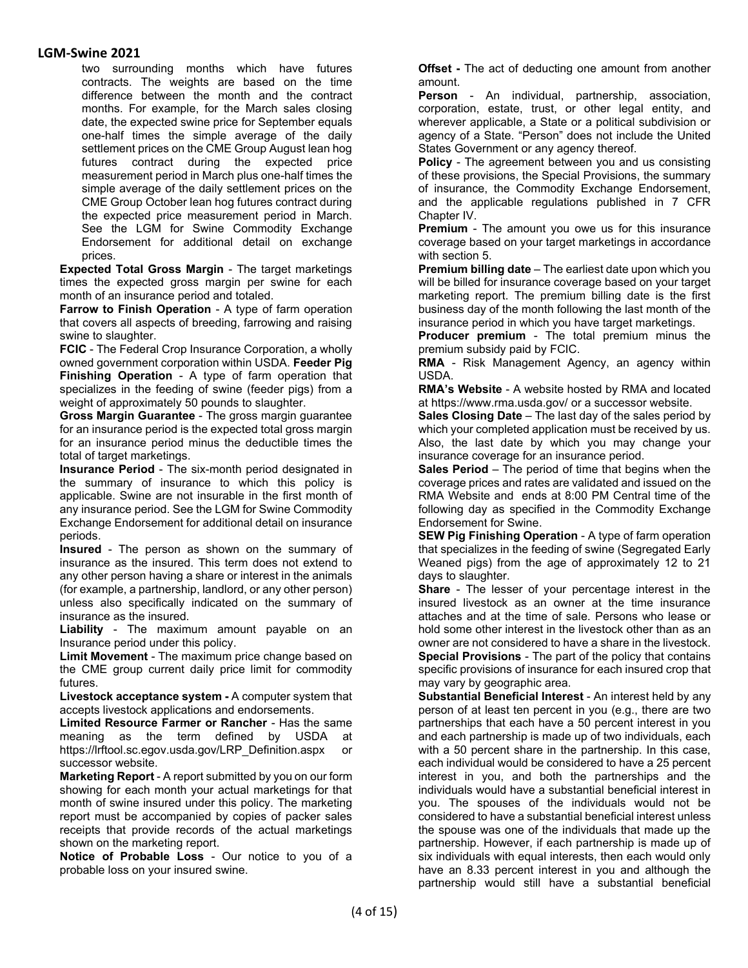two surrounding months which have futures contracts. The weights are based on the time difference between the month and the contract months. For example, for the March sales closing date, the expected swine price for September equals one-half times the simple average of the daily settlement prices on the CME Group August lean hog futures contract during the expected price measurement period in March plus one-half times the simple average of the daily settlement prices on the CME Group October lean hog futures contract during the expected price measurement period in March. See the LGM for Swine Commodity Exchange Endorsement for additional detail on exchange prices.

**Expected Total Gross Margin** - The target marketings times the expected gross margin per swine for each month of an insurance period and totaled.

**Farrow to Finish Operation** - A type of farm operation that covers all aspects of breeding, farrowing and raising swine to slaughter.

**FCIC** - The Federal Crop Insurance Corporation, a wholly owned government corporation within USDA. **Feeder Pig Finishing Operation** - A type of farm operation that specializes in the feeding of swine (feeder pigs) from a weight of approximately 50 pounds to slaughter.

**Gross Margin Guarantee** - The gross margin guarantee for an insurance period is the expected total gross margin for an insurance period minus the deductible times the total of target marketings.

**Insurance Period** - The six-month period designated in the summary of insurance to which this policy is applicable. Swine are not insurable in the first month of any insurance period. See the LGM for Swine Commodity Exchange Endorsement for additional detail on insurance periods.

**Insured** - The person as shown on the summary of insurance as the insured. This term does not extend to any other person having a share or interest in the animals (for example, a partnership, landlord, or any other person) unless also specifically indicated on the summary of insurance as the insured.

**Liability** - The maximum amount payable on an Insurance period under this policy.

**Limit Movement** - The maximum price change based on the CME group current daily price limit for commodity futures.

**Livestock acceptance system -** A computer system that accepts livestock applications and endorsements.

**Limited Resource Farmer or Rancher** - Has the same meaning as the term defined by USDA at https://lrftool.sc.egov.usda.gov/LRP\_Definition.aspx or successor website.

**Marketing Report** - A report submitted by you on our form showing for each month your actual marketings for that month of swine insured under this policy. The marketing report must be accompanied by copies of packer sales receipts that provide records of the actual marketings shown on the marketing report.

**Notice of Probable Loss** - Our notice to you of a probable loss on your insured swine.

**Offset -** The act of deducting one amount from another amount.

**Person** - An individual, partnership, association, corporation, estate, trust, or other legal entity, and wherever applicable, a State or a political subdivision or agency of a State. "Person" does not include the United States Government or any agency thereof.

**Policy** - The agreement between you and us consisting of these provisions, the Special Provisions, the summary of insurance, the Commodity Exchange Endorsement, and the applicable regulations published in 7 CFR Chapter IV.

**Premium** - The amount you owe us for this insurance coverage based on your target marketings in accordance with section 5.

**Premium billing date** – The earliest date upon which you will be billed for insurance coverage based on your target marketing report. The premium billing date is the first business day of the month following the last month of the insurance period in which you have target marketings.

**Producer premium** - The total premium minus the premium subsidy paid by FCIC.

**RMA** - Risk Management Agency, an agency within USDA.

**RMA's Website** - A website hosted by RMA and located at https://www.rma.usda.gov/ or a successor website.

**Sales Closing Date** – The last day of the sales period by which your completed application must be received by us. Also, the last date by which you may change your insurance coverage for an insurance period.

**Sales Period** – The period of time that begins when the coverage prices and rates are validated and issued on the RMA Website and ends at 8:00 PM Central time of the following day as specified in the Commodity Exchange Endorsement for Swine.

**SEW Pig Finishing Operation** - A type of farm operation that specializes in the feeding of swine (Segregated Early Weaned pigs) from the age of approximately 12 to 21 days to slaughter.

**Share** - The lesser of your percentage interest in the insured livestock as an owner at the time insurance attaches and at the time of sale. Persons who lease or hold some other interest in the livestock other than as an owner are not considered to have a share in the livestock. **Special Provisions** - The part of the policy that contains specific provisions of insurance for each insured crop that may vary by geographic area.

**Substantial Beneficial Interest** - An interest held by any person of at least ten percent in you (e.g., there are two partnerships that each have a 50 percent interest in you and each partnership is made up of two individuals, each with a 50 percent share in the partnership. In this case, each individual would be considered to have a 25 percent interest in you, and both the partnerships and the individuals would have a substantial beneficial interest in you. The spouses of the individuals would not be considered to have a substantial beneficial interest unless the spouse was one of the individuals that made up the partnership. However, if each partnership is made up of six individuals with equal interests, then each would only have an 8.33 percent interest in you and although the partnership would still have a substantial beneficial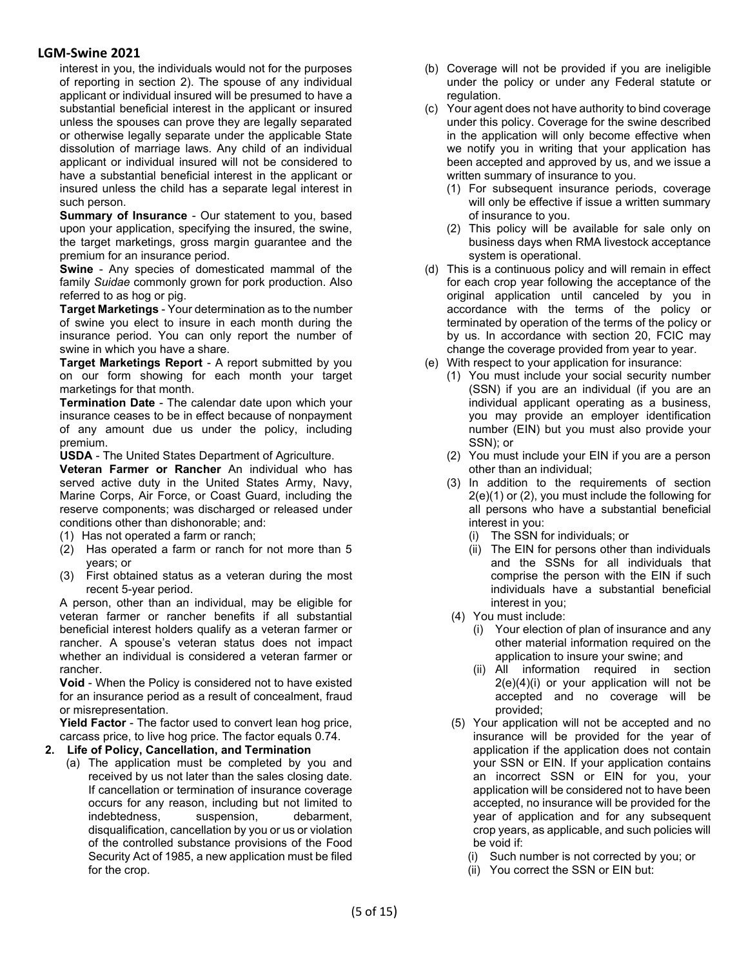interest in you, the individuals would not for the purposes of reporting in section 2). The spouse of any individual applicant or individual insured will be presumed to have a substantial beneficial interest in the applicant or insured unless the spouses can prove they are legally separated or otherwise legally separate under the applicable State dissolution of marriage laws. Any child of an individual applicant or individual insured will not be considered to have a substantial beneficial interest in the applicant or insured unless the child has a separate legal interest in such person.

**Summary of Insurance** - Our statement to you, based upon your application, specifying the insured, the swine, the target marketings, gross margin guarantee and the premium for an insurance period.

**Swine** - Any species of domesticated mammal of the family *Suidae* commonly grown for pork production. Also referred to as hog or pig.

**Target Marketings** - Your determination as to the number of swine you elect to insure in each month during the insurance period. You can only report the number of swine in which you have a share.

**Target Marketings Report** - A report submitted by you on our form showing for each month your target marketings for that month.

**Termination Date** - The calendar date upon which your insurance ceases to be in effect because of nonpayment of any amount due us under the policy, including premium.

**USDA** - The United States Department of Agriculture.

**Veteran Farmer or Rancher** An individual who has served active duty in the United States Army, Navy, Marine Corps, Air Force, or Coast Guard, including the reserve components; was discharged or released under conditions other than dishonorable; and:

- (1) Has not operated a farm or ranch;
- (2) Has operated a farm or ranch for not more than 5 years; or
- (3) First obtained status as a veteran during the most recent 5-year period.

A person, other than an individual, may be eligible for veteran farmer or rancher benefits if all substantial beneficial interest holders qualify as a veteran farmer or rancher. A spouse's veteran status does not impact whether an individual is considered a veteran farmer or rancher.

**Void** - When the Policy is considered not to have existed for an insurance period as a result of concealment, fraud or misrepresentation.

**Yield Factor** - The factor used to convert lean hog price, carcass price, to live hog price. The factor equals 0.74.

- **2. Life of Policy, Cancellation, and Termination**
	- (a) The application must be completed by you and received by us not later than the sales closing date. If cancellation or termination of insurance coverage occurs for any reason, including but not limited to indebtedness, suspension, debarment, disqualification, cancellation by you or us or violation of the controlled substance provisions of the Food Security Act of 1985, a new application must be filed for the crop.
- (b) Coverage will not be provided if you are ineligible under the policy or under any Federal statute or regulation.
- (c) Your agent does not have authority to bind coverage under this policy. Coverage for the swine described in the application will only become effective when we notify you in writing that your application has been accepted and approved by us, and we issue a written summary of insurance to you.
	- (1) For subsequent insurance periods, coverage will only be effective if issue a written summary of insurance to you.
	- (2) This policy will be available for sale only on business days when RMA livestock acceptance system is operational.
- (d) This is a continuous policy and will remain in effect for each crop year following the acceptance of the original application until canceled by you in accordance with the terms of the policy or terminated by operation of the terms of the policy or by us. In accordance with section 20, FCIC may change the coverage provided from year to year.
- (e) With respect to your application for insurance:
	- (1) You must include your social security number (SSN) if you are an individual (if you are an individual applicant operating as a business, you may provide an employer identification number (EIN) but you must also provide your SSN); or
	- (2) You must include your EIN if you are a person other than an individual;
	- (3) In addition to the requirements of section 2(e)(1) or (2), you must include the following for all persons who have a substantial beneficial interest in you:
		- (i) The SSN for individuals; or
		- (ii) The EIN for persons other than individuals and the SSNs for all individuals that comprise the person with the EIN if such individuals have a substantial beneficial interest in you;
	- (4) You must include:
		- (i) Your election of plan of insurance and any other material information required on the application to insure your swine; and
		- (ii) All information required in section  $2(e)(4)(i)$  or your application will not be accepted and no coverage will be provided;
	- (5) Your application will not be accepted and no insurance will be provided for the year of application if the application does not contain your SSN or EIN. If your application contains an incorrect SSN or EIN for you, your application will be considered not to have been accepted, no insurance will be provided for the year of application and for any subsequent crop years, as applicable, and such policies will be void if:
		- (i) Such number is not corrected by you; or
		- (ii) You correct the SSN or EIN but: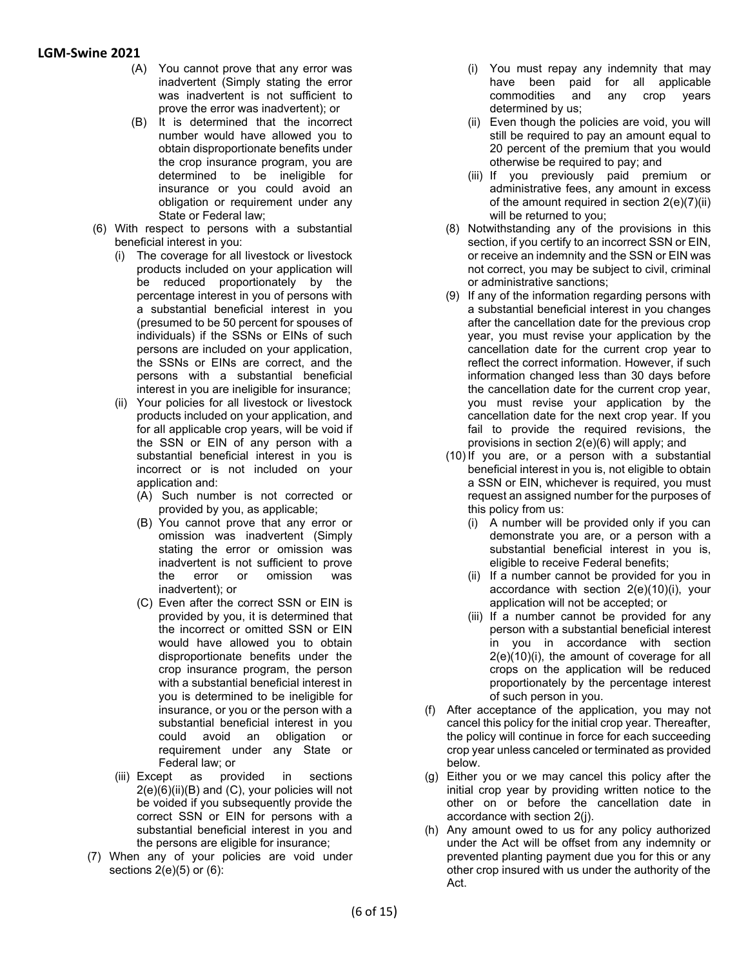- (A) You cannot prove that any error was inadvertent (Simply stating the error was inadvertent is not sufficient to prove the error was inadvertent); or
- (B) It is determined that the incorrect number would have allowed you to obtain disproportionate benefits under the crop insurance program, you are determined to be ineligible for insurance or you could avoid an obligation or requirement under any State or Federal law;
- (6) With respect to persons with a substantial beneficial interest in you:
	- (i) The coverage for all livestock or livestock products included on your application will be reduced proportionately by the percentage interest in you of persons with a substantial beneficial interest in you (presumed to be 50 percent for spouses of individuals) if the SSNs or EINs of such persons are included on your application, the SSNs or EINs are correct, and the persons with a substantial beneficial interest in you are ineligible for insurance;
	- (ii) Your policies for all livestock or livestock products included on your application, and for all applicable crop years, will be void if the SSN or EIN of any person with a substantial beneficial interest in you is incorrect or is not included on your application and:
		- (A) Such number is not corrected or provided by you, as applicable;
		- (B) You cannot prove that any error or omission was inadvertent (Simply stating the error or omission was inadvertent is not sufficient to prove the error or omission was inadvertent); or
		- (C) Even after the correct SSN or EIN is provided by you, it is determined that the incorrect or omitted SSN or EIN would have allowed you to obtain disproportionate benefits under the crop insurance program, the person with a substantial beneficial interest in you is determined to be ineligible for insurance, or you or the person with a substantial beneficial interest in you could avoid an obligation or requirement under any State or Federal law; or
	- (iii) Except as provided in sections  $2(e)(6)(ii)(B)$  and  $(C)$ , your policies will not be voided if you subsequently provide the correct SSN or EIN for persons with a substantial beneficial interest in you and the persons are eligible for insurance;
- (7) When any of your policies are void under sections 2(e)(5) or (6):
- (i) You must repay any indemnity that may have been paid for all applicable commodities and any crop years determined by us;
- (ii) Even though the policies are void, you will still be required to pay an amount equal to 20 percent of the premium that you would otherwise be required to pay; and
- (iii) If you previously paid premium or administrative fees, any amount in excess of the amount required in section 2(e)(7)(ii) will be returned to you;
- (8) Notwithstanding any of the provisions in this section, if you certify to an incorrect SSN or EIN, or receive an indemnity and the SSN or EIN was not correct, you may be subject to civil, criminal or administrative sanctions;
- (9) If any of the information regarding persons with a substantial beneficial interest in you changes after the cancellation date for the previous crop year, you must revise your application by the cancellation date for the current crop year to reflect the correct information. However, if such information changed less than 30 days before the cancellation date for the current crop year, you must revise your application by the cancellation date for the next crop year. If you fail to provide the required revisions, the provisions in section 2(e)(6) will apply; and
- (10) If you are, or a person with a substantial beneficial interest in you is, not eligible to obtain a SSN or EIN, whichever is required, you must request an assigned number for the purposes of this policy from us:
	- (i) A number will be provided only if you can demonstrate you are, or a person with a substantial beneficial interest in you is, eligible to receive Federal benefits;
	- (ii) If a number cannot be provided for you in accordance with section 2(e)(10)(i), your application will not be accepted; or
	- (iii) If a number cannot be provided for any person with a substantial beneficial interest in you in accordance with section 2(e)(10)(i), the amount of coverage for all crops on the application will be reduced proportionately by the percentage interest of such person in you.
- (f) After acceptance of the application, you may not cancel this policy for the initial crop year. Thereafter, the policy will continue in force for each succeeding crop year unless canceled or terminated as provided below.
- (g) Either you or we may cancel this policy after the initial crop year by providing written notice to the other on or before the cancellation date in accordance with section 2(j).
- (h) Any amount owed to us for any policy authorized under the Act will be offset from any indemnity or prevented planting payment due you for this or any other crop insured with us under the authority of the Act.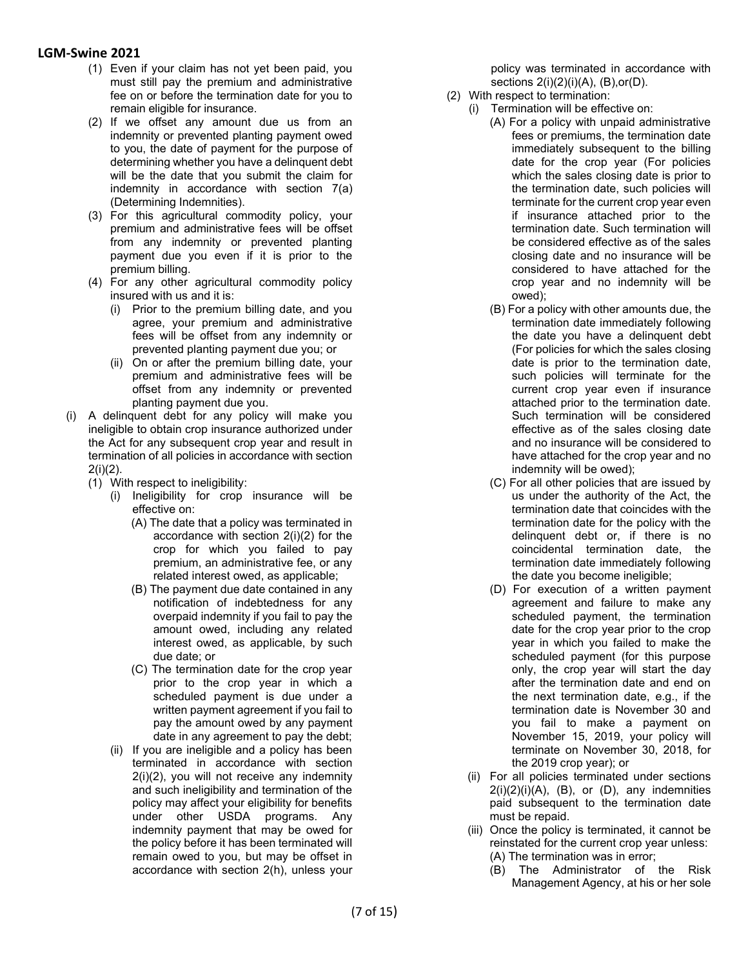- (1) Even if your claim has not yet been paid, you must still pay the premium and administrative fee on or before the termination date for you to remain eligible for insurance.
- (2) If we offset any amount due us from an indemnity or prevented planting payment owed to you, the date of payment for the purpose of determining whether you have a delinquent debt will be the date that you submit the claim for indemnity in accordance with section 7(a) (Determining Indemnities).
- (3) For this agricultural commodity policy, your premium and administrative fees will be offset from any indemnity or prevented planting payment due you even if it is prior to the premium billing.
- (4) For any other agricultural commodity policy insured with us and it is:
	- (i) Prior to the premium billing date, and you agree, your premium and administrative fees will be offset from any indemnity or prevented planting payment due you; or
	- (ii) On or after the premium billing date, your premium and administrative fees will be offset from any indemnity or prevented planting payment due you.
- (i) A delinquent debt for any policy will make you ineligible to obtain crop insurance authorized under the Act for any subsequent crop year and result in termination of all policies in accordance with section 2(i)(2).
	- (1) With respect to ineligibility:
		- (i) Ineligibility for crop insurance will be effective on:
			- (A) The date that a policy was terminated in accordance with section 2(i)(2) for the crop for which you failed to pay premium, an administrative fee, or any related interest owed, as applicable;
			- (B) The payment due date contained in any notification of indebtedness for any overpaid indemnity if you fail to pay the amount owed, including any related interest owed, as applicable, by such due date; or
			- (C) The termination date for the crop year prior to the crop year in which a scheduled payment is due under a written payment agreement if you fail to pay the amount owed by any payment date in any agreement to pay the debt;
		- (ii) If you are ineligible and a policy has been terminated in accordance with section 2(i)(2), you will not receive any indemnity and such ineligibility and termination of the policy may affect your eligibility for benefits under other USDA programs. Any indemnity payment that may be owed for the policy before it has been terminated will remain owed to you, but may be offset in accordance with section 2(h), unless your

policy was terminated in accordance with sections 2(i)(2)(i)(A), (B),or(D).

- (2) With respect to termination:
	- (i) Termination will be effective on:
		- (A) For a policy with unpaid administrative fees or premiums, the termination date immediately subsequent to the billing date for the crop year (For policies which the sales closing date is prior to the termination date, such policies will terminate for the current crop year even if insurance attached prior to the termination date. Such termination will be considered effective as of the sales closing date and no insurance will be considered to have attached for the crop year and no indemnity will be owed);
		- (B) For a policy with other amounts due, the termination date immediately following the date you have a delinquent debt (For policies for which the sales closing date is prior to the termination date, such policies will terminate for the current crop year even if insurance attached prior to the termination date. Such termination will be considered effective as of the sales closing date and no insurance will be considered to have attached for the crop year and no indemnity will be owed);
		- (C) For all other policies that are issued by us under the authority of the Act, the termination date that coincides with the termination date for the policy with the delinquent debt or, if there is no coincidental termination date, the termination date immediately following the date you become ineligible;
		- (D) For execution of a written payment agreement and failure to make any scheduled payment, the termination date for the crop year prior to the crop year in which you failed to make the scheduled payment (for this purpose only, the crop year will start the day after the termination date and end on the next termination date, e.g., if the termination date is November 30 and you fail to make a payment on November 15, 2019, your policy will terminate on November 30, 2018, for the 2019 crop year); or
	- (ii) For all policies terminated under sections  $2(i)(2)(i)(A)$ ,  $(B)$ , or  $(D)$ , any indemnities paid subsequent to the termination date must be repaid.
	- (iii) Once the policy is terminated, it cannot be reinstated for the current crop year unless: (A) The termination was in error;
		- (B) The Administrator of the Risk Management Agency, at his or her sole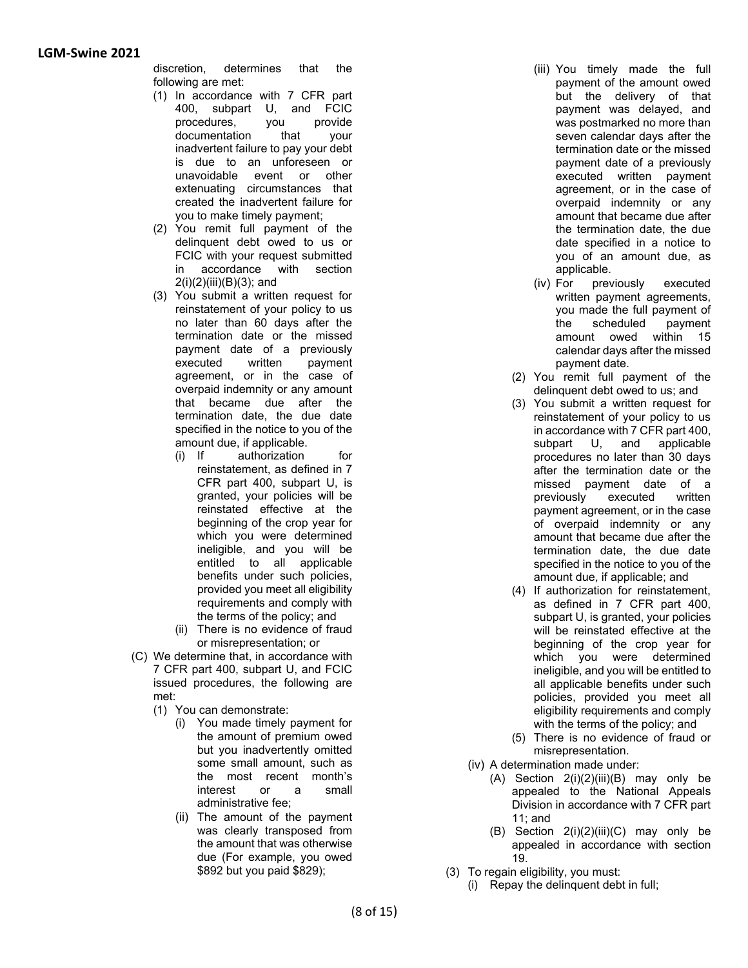discretion, determines that the following are met:

- (1) In accordance with 7 CFR part 400, subpart U, and FCIC procedures, you provide documentation that your inadvertent failure to pay your debt is due to an unforeseen or unavoidable event or other extenuating circumstances that created the inadvertent failure for you to make timely payment;
- (2) You remit full payment of the delinquent debt owed to us or FCIC with your request submitted in accordance with section 2(i)(2)(iii)(B)(3); and
- (3) You submit a written request for reinstatement of your policy to us no later than 60 days after the termination date or the missed payment date of a previously<br>executed written payment executed written payment agreement, or in the case of overpaid indemnity or any amount that became due after the termination date, the due date specified in the notice to you of the amount due, if applicable.
	- (i) If authorization for reinstatement, as defined in 7 CFR part 400, subpart U, is granted, your policies will be reinstated effective at the beginning of the crop year for which you were determined ineligible, and you will be entitled to all applicable benefits under such policies, provided you meet all eligibility requirements and comply with the terms of the policy; and
	- (ii) There is no evidence of fraud or misrepresentation; or
- (C) We determine that, in accordance with 7 CFR part 400, subpart U, and FCIC issued procedures, the following are met:
	- (1) You can demonstrate:
		- (i) You made timely payment for the amount of premium owed but you inadvertently omitted some small amount, such as the most recent month's interest or a small administrative fee;
		- (ii) The amount of the payment was clearly transposed from the amount that was otherwise due (For example, you owed \$892 but you paid \$829);
- (iii) You timely made the full payment of the amount owed but the delivery of that payment was delayed, and was postmarked no more than seven calendar days after the termination date or the missed payment date of a previously executed written payment agreement, or in the case of overpaid indemnity or any amount that became due after the termination date, the due date specified in a notice to you of an amount due, as applicable.
- (iv) For previously executed written payment agreements, you made the full payment of<br>the scheduled payment the scheduled amount owed within 15 calendar days after the missed payment date.
- (2) You remit full payment of the delinquent debt owed to us; and
- (3) You submit a written request for reinstatement of your policy to us in accordance with 7 CFR part 400, subpart U, and applicable procedures no later than 30 days after the termination date or the missed payment date of a previously executed written payment agreement, or in the case of overpaid indemnity or any amount that became due after the termination date, the due date specified in the notice to you of the amount due, if applicable; and
- (4) If authorization for reinstatement, as defined in 7 CFR part 400, subpart U, is granted, your policies will be reinstated effective at the beginning of the crop year for which you were determined ineligible, and you will be entitled to all applicable benefits under such policies, provided you meet all eligibility requirements and comply with the terms of the policy; and
- (5) There is no evidence of fraud or misrepresentation.
- (iv) A determination made under:
	- (A) Section  $2(i)(2)(iii)(B)$  may only be appealed to the National Appeals Division in accordance with 7 CFR part 11; and
	- (B) Section  $2(i)(2)(iii)(C)$  may only be appealed in accordance with section 19.
- (3) To regain eligibility, you must:
	- (i) Repay the delinquent debt in full;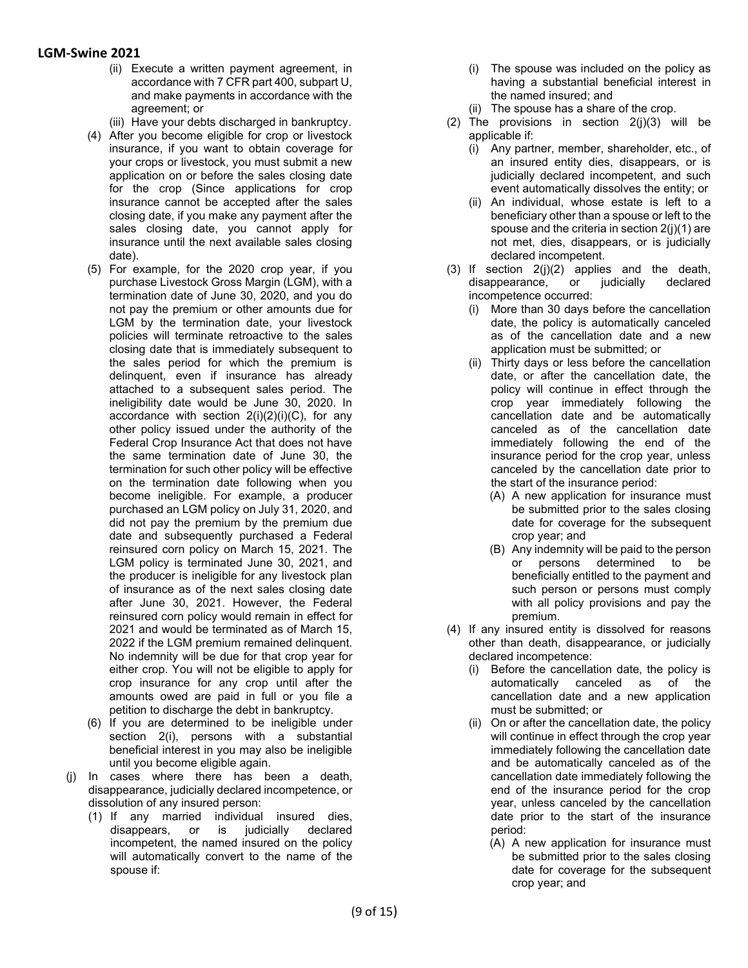- (ii) Execute a written payment agreement, in accordance with 7 CFR part 400, subpart U, and make payments in accordance with the agreement; or
- (iii) Have your debts discharged in bankruptcy.
- (4) After you become eligible for crop or livestock insurance, if you want to obtain coverage for your crops or livestock, you must submit a new application on or before the sales closing date for the crop (Since applications for crop insurance cannot be accepted after the sales closing date, if you make any payment after the sales closing date, you cannot apply for insurance until the next available sales closing date).
- (5) For example, for the 2020 crop year, if you purchase Livestock Gross Margin (LGM), with a termination date of June 30, 2020, and you do not pay the premium or other amounts due for LGM by the termination date, your livestock policies will terminate retroactive to the sales closing date that is immediately subsequent to the sales period for which the premium is delinquent, even if insurance has already attached to a subsequent sales period. The ineligibility date would be June 30, 2020. In accordance with section  $2(i)(2)(i)(C)$ , for any other policy issued under the authority of the Federal Crop Insurance Act that does not have the same termination date of June 30, the termination for such other policy will be effective on the termination date following when you become ineligible. For example, a producer purchased an LGM policy on July 31, 2020, and did not pay the premium by the premium due date and subsequently purchased a Federal reinsured corn policy on March 15, 2021. The LGM policy is terminated June 30, 2021, and the producer is ineligible for any livestock plan of insurance as of the next sales closing date after June 30, 2021. However, the Federal reinsured corn policy would remain in effect for 2021 and would be terminated as of March 15, 2022 if the LGM premium remained delinquent. No indemnity will be due for that crop year for either crop. You will not be eligible to apply for crop insurance for any crop until after the amounts owed are paid in full or you file a petition to discharge the debt in bankruptcy.
- (6) If you are determined to be ineligible under section 2(i), persons with a substantial beneficial interest in you may also be ineligible until you become eligible again.
- (j) In cases where there has been a death, disappearance, judicially declared incompetence, or dissolution of any insured person:
	- (1) If any married individual insured dies, disappears, or is judicially declared incompetent, the named insured on the policy will automatically convert to the name of the spouse if:
- (i) The spouse was included on the policy as having a substantial beneficial interest in the named insured; and
- (ii) The spouse has a share of the crop.
- (2) The provisions in section  $2(j)(3)$  will be applicable if:
	- (i) Any partner, member, shareholder, etc., of an insured entity dies, disappears, or is judicially declared incompetent, and such event automatically dissolves the entity; or
	- (ii) An individual, whose estate is left to a beneficiary other than a spouse or left to the spouse and the criteria in section 2(j)(1) are not met, dies, disappears, or is judicially declared incompetent.
- (3) If section  $2(j)(2)$  applies and the death, disappearance, or judicially declared incompetence occurred:
	- (i) More than 30 days before the cancellation date, the policy is automatically canceled as of the cancellation date and a new application must be submitted; or
	- (ii) Thirty days or less before the cancellation date, or after the cancellation date, the policy will continue in effect through the crop year immediately following the cancellation date and be automatically canceled as of the cancellation date immediately following the end of the insurance period for the crop year, unless canceled by the cancellation date prior to the start of the insurance period:
		- (A) A new application for insurance must be submitted prior to the sales closing date for coverage for the subsequent crop year; and
		- (B) Any indemnity will be paid to the person or persons determined to be beneficially entitled to the payment and such person or persons must comply with all policy provisions and pay the premium.
- (4) If any insured entity is dissolved for reasons other than death, disappearance, or judicially declared incompetence:
	- (i) Before the cancellation date, the policy is automatically canceled as of the cancellation date and a new application must be submitted; or
	- (ii) On or after the cancellation date, the policy will continue in effect through the crop year immediately following the cancellation date and be automatically canceled as of the cancellation date immediately following the end of the insurance period for the crop year, unless canceled by the cancellation date prior to the start of the insurance period:
		- (A) A new application for insurance must be submitted prior to the sales closing date for coverage for the subsequent crop year; and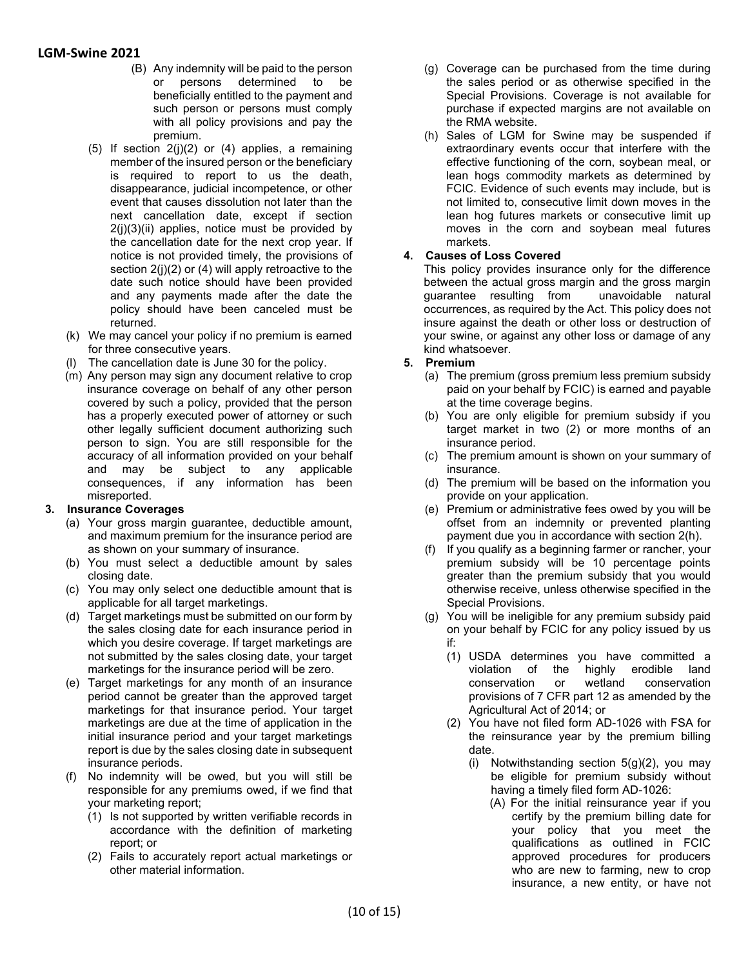- (B) Any indemnity will be paid to the person or persons determined to be beneficially entitled to the payment and such person or persons must comply with all policy provisions and pay the premium.
- (5) If section  $2(j)(2)$  or (4) applies, a remaining member of the insured person or the beneficiary is required to report to us the death, disappearance, judicial incompetence, or other event that causes dissolution not later than the next cancellation date, except if section  $2(i)(3)(ii)$  applies, notice must be provided by the cancellation date for the next crop year. If notice is not provided timely, the provisions of section 2(j)(2) or (4) will apply retroactive to the date such notice should have been provided and any payments made after the date the policy should have been canceled must be returned.
- (k) We may cancel your policy if no premium is earned for three consecutive years.
- (l) The cancellation date is June 30 for the policy.
- (m) Any person may sign any document relative to crop insurance coverage on behalf of any other person covered by such a policy, provided that the person has a properly executed power of attorney or such other legally sufficient document authorizing such person to sign. You are still responsible for the accuracy of all information provided on your behalf and may be subject to any applicable consequences, if any information has been misreported.

#### **3. Insurance Coverages**

- (a) Your gross margin guarantee, deductible amount, and maximum premium for the insurance period are as shown on your summary of insurance.
- (b) You must select a deductible amount by sales closing date.
- (c) You may only select one deductible amount that is applicable for all target marketings.
- (d) Target marketings must be submitted on our form by the sales closing date for each insurance period in which you desire coverage. If target marketings are not submitted by the sales closing date, your target marketings for the insurance period will be zero.
- (e) Target marketings for any month of an insurance period cannot be greater than the approved target marketings for that insurance period. Your target marketings are due at the time of application in the initial insurance period and your target marketings report is due by the sales closing date in subsequent insurance periods.
- (f) No indemnity will be owed, but you will still be responsible for any premiums owed, if we find that your marketing report;
	- (1) Is not supported by written verifiable records in accordance with the definition of marketing report; or
	- (2) Fails to accurately report actual marketings or other material information.
- (g) Coverage can be purchased from the time during the sales period or as otherwise specified in the Special Provisions. Coverage is not available for purchase if expected margins are not available on the RMA website.
- (h) Sales of LGM for Swine may be suspended if extraordinary events occur that interfere with the effective functioning of the corn, soybean meal, or lean hogs commodity markets as determined by FCIC. Evidence of such events may include, but is not limited to, consecutive limit down moves in the lean hog futures markets or consecutive limit up moves in the corn and soybean meal futures markets.

# **4. Causes of Loss Covered**

This policy provides insurance only for the difference between the actual gross margin and the gross margin guarantee resulting from unavoidable natural occurrences, as required by the Act. This policy does not insure against the death or other loss or destruction of your swine, or against any other loss or damage of any kind whatsoever.

#### **5. Premium**

- (a) The premium (gross premium less premium subsidy paid on your behalf by FCIC) is earned and payable at the time coverage begins.
- (b) You are only eligible for premium subsidy if you target market in two (2) or more months of an insurance period.
- (c) The premium amount is shown on your summary of insurance.
- (d) The premium will be based on the information you provide on your application.
- (e) Premium or administrative fees owed by you will be offset from an indemnity or prevented planting payment due you in accordance with section 2(h).
- (f) If you qualify as a beginning farmer or rancher, your premium subsidy will be 10 percentage points greater than the premium subsidy that you would otherwise receive, unless otherwise specified in the Special Provisions.
- (g) You will be ineligible for any premium subsidy paid on your behalf by FCIC for any policy issued by us if:
	- (1) USDA determines you have committed a violation of the highly erodible land conservation or wetland conservation provisions of 7 CFR part 12 as amended by the Agricultural Act of 2014; or
	- (2) You have not filed form AD-1026 with FSA for the reinsurance year by the premium billing date.
		- (i) Notwithstanding section 5(g)(2), you may be eligible for premium subsidy without having a timely filed form AD-1026:
			- (A) For the initial reinsurance year if you certify by the premium billing date for your policy that you meet the qualifications as outlined in FCIC approved procedures for producers who are new to farming, new to crop insurance, a new entity, or have not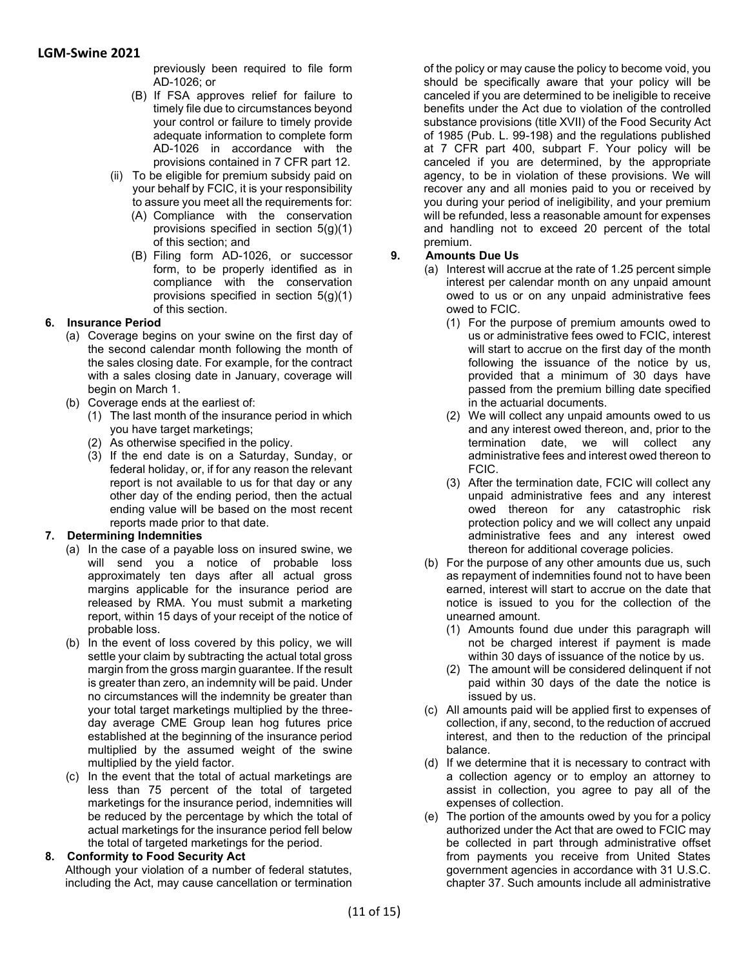previously been required to file form AD-1026; or

- (B) If FSA approves relief for failure to timely file due to circumstances beyond your control or failure to timely provide adequate information to complete form AD-1026 in accordance with the provisions contained in 7 CFR part 12.
- (ii) To be eligible for premium subsidy paid on your behalf by FCIC, it is your responsibility to assure you meet all the requirements for:
	- (A) Compliance with the conservation provisions specified in section 5(g)(1) of this section; and
	- (B) Filing form AD-1026, or successor form, to be properly identified as in compliance with the conservation provisions specified in section 5(g)(1) of this section.

### **6. Insurance Period**

- (a) Coverage begins on your swine on the first day of the second calendar month following the month of the sales closing date. For example, for the contract with a sales closing date in January, coverage will begin on March 1.
- (b) Coverage ends at the earliest of:
	- (1) The last month of the insurance period in which you have target marketings;
	- (2) As otherwise specified in the policy.
	- (3) If the end date is on a Saturday, Sunday, or federal holiday, or, if for any reason the relevant report is not available to us for that day or any other day of the ending period, then the actual ending value will be based on the most recent reports made prior to that date.

### **7. Determining Indemnities**

- (a) In the case of a payable loss on insured swine, we will send you a notice of probable loss approximately ten days after all actual gross margins applicable for the insurance period are released by RMA. You must submit a marketing report, within 15 days of your receipt of the notice of probable loss.
- (b) In the event of loss covered by this policy, we will settle your claim by subtracting the actual total gross margin from the gross margin guarantee. If the result is greater than zero, an indemnity will be paid. Under no circumstances will the indemnity be greater than your total target marketings multiplied by the threeday average CME Group lean hog futures price established at the beginning of the insurance period multiplied by the assumed weight of the swine multiplied by the yield factor.
- (c) In the event that the total of actual marketings are less than 75 percent of the total of targeted marketings for the insurance period, indemnities will be reduced by the percentage by which the total of actual marketings for the insurance period fell below the total of targeted marketings for the period.

### **8. Conformity to Food Security Act**

Although your violation of a number of federal statutes, including the Act, may cause cancellation or termination of the policy or may cause the policy to become void, you should be specifically aware that your policy will be canceled if you are determined to be ineligible to receive benefits under the Act due to violation of the controlled substance provisions (title XVII) of the Food Security Act of 1985 (Pub. L. 99-198) and the regulations published at 7 CFR part 400, subpart F. Your policy will be canceled if you are determined, by the appropriate agency, to be in violation of these provisions. We will recover any and all monies paid to you or received by you during your period of ineligibility, and your premium will be refunded, less a reasonable amount for expenses and handling not to exceed 20 percent of the total premium.

### **9. Amounts Due Us**

- (a) Interest will accrue at the rate of 1.25 percent simple interest per calendar month on any unpaid amount owed to us or on any unpaid administrative fees owed to FCIC.
	- (1) For the purpose of premium amounts owed to us or administrative fees owed to FCIC, interest will start to accrue on the first day of the month following the issuance of the notice by us, provided that a minimum of 30 days have passed from the premium billing date specified in the actuarial documents.
	- (2) We will collect any unpaid amounts owed to us and any interest owed thereon, and, prior to the termination date, we will collect any administrative fees and interest owed thereon to FCIC.
	- (3) After the termination date, FCIC will collect any unpaid administrative fees and any interest owed thereon for any catastrophic risk protection policy and we will collect any unpaid administrative fees and any interest owed thereon for additional coverage policies.
- (b) For the purpose of any other amounts due us, such as repayment of indemnities found not to have been earned, interest will start to accrue on the date that notice is issued to you for the collection of the unearned amount.
	- (1) Amounts found due under this paragraph will not be charged interest if payment is made within 30 days of issuance of the notice by us.
	- (2) The amount will be considered delinquent if not paid within 30 days of the date the notice is issued by us.
- (c) All amounts paid will be applied first to expenses of collection, if any, second, to the reduction of accrued interest, and then to the reduction of the principal balance.
- (d) If we determine that it is necessary to contract with a collection agency or to employ an attorney to assist in collection, you agree to pay all of the expenses of collection.
- (e) The portion of the amounts owed by you for a policy authorized under the Act that are owed to FCIC may be collected in part through administrative offset from payments you receive from United States government agencies in accordance with 31 U.S.C. chapter 37. Such amounts include all administrative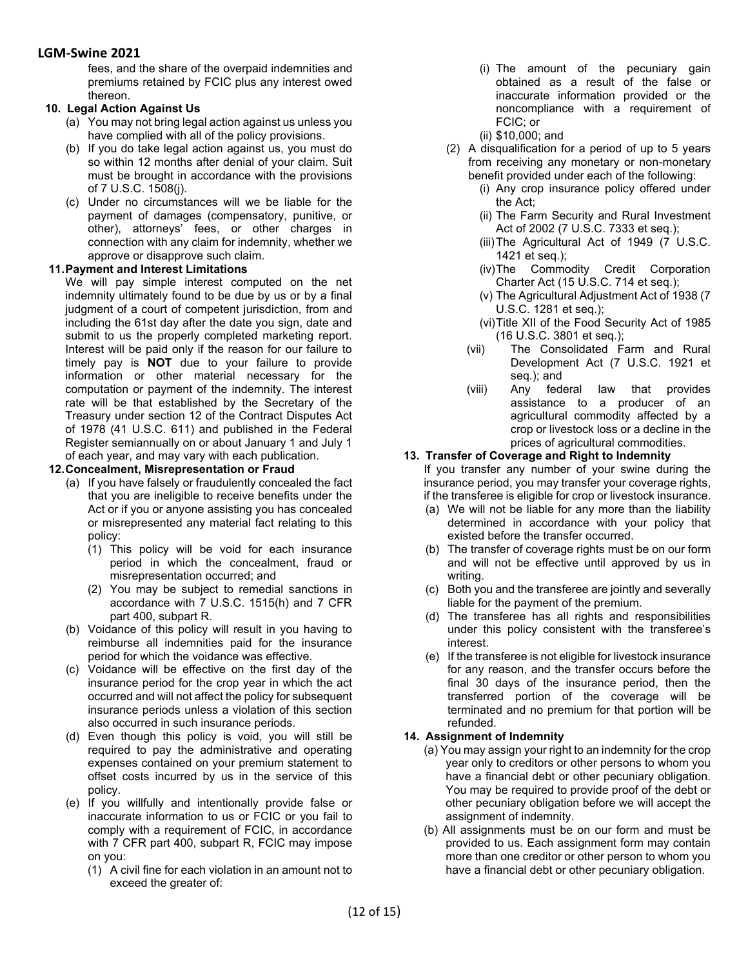fees, and the share of the overpaid indemnities and premiums retained by FCIC plus any interest owed thereon.

#### **10. Legal Action Against Us**

- (a) You may not bring legal action against us unless you have complied with all of the policy provisions.
- (b) If you do take legal action against us, you must do so within 12 months after denial of your claim. Suit must be brought in accordance with the provisions of 7 U.S.C. 1508(j).
- (c) Under no circumstances will we be liable for the payment of damages (compensatory, punitive, or other), attorneys' fees, or other charges in connection with any claim for indemnity, whether we approve or disapprove such claim.

### **11.Payment and Interest Limitations**

We will pay simple interest computed on the net indemnity ultimately found to be due by us or by a final judgment of a court of competent jurisdiction, from and including the 61st day after the date you sign, date and submit to us the properly completed marketing report. Interest will be paid only if the reason for our failure to timely pay is **NOT** due to your failure to provide information or other material necessary for the computation or payment of the indemnity. The interest rate will be that established by the Secretary of the Treasury under section 12 of the Contract Disputes Act of 1978 (41 U.S.C. 611) and published in the Federal Register semiannually on or about January 1 and July 1 of each year, and may vary with each publication.

#### **12.Concealment, Misrepresentation or Fraud**

- (a) If you have falsely or fraudulently concealed the fact that you are ineligible to receive benefits under the Act or if you or anyone assisting you has concealed or misrepresented any material fact relating to this policy:
	- (1) This policy will be void for each insurance period in which the concealment, fraud or misrepresentation occurred; and
	- (2) You may be subject to remedial sanctions in accordance with 7 U.S.C. 1515(h) and 7 CFR part 400, subpart R.
- (b) Voidance of this policy will result in you having to reimburse all indemnities paid for the insurance period for which the voidance was effective.
- (c) Voidance will be effective on the first day of the insurance period for the crop year in which the act occurred and will not affect the policy for subsequent insurance periods unless a violation of this section also occurred in such insurance periods.
- (d) Even though this policy is void, you will still be required to pay the administrative and operating expenses contained on your premium statement to offset costs incurred by us in the service of this policy.
- (e) If you willfully and intentionally provide false or inaccurate information to us or FCIC or you fail to comply with a requirement of FCIC, in accordance with 7 CFR part 400, subpart R, FCIC may impose on you:
	- (1) A civil fine for each violation in an amount not to exceed the greater of:
- (i) The amount of the pecuniary gain obtained as a result of the false or inaccurate information provided or the noncompliance with a requirement of FCIC; or
- (ii) \$10,000; and
- (2) A disqualification for a period of up to 5 years from receiving any monetary or non-monetary benefit provided under each of the following:
	- (i) Any crop insurance policy offered under the Act;
	- (ii) The Farm Security and Rural Investment Act of 2002 (7 U.S.C. 7333 et seq.);
	- (iii)The Agricultural Act of 1949 (7 U.S.C. 1421 et seq.);
	- (iv)The Commodity Credit Corporation Charter Act (15 U.S.C. 714 et seq.);
	- (v) The Agricultural Adjustment Act of 1938 (7 U.S.C. 1281 et seq.);
	- (vi)Title XII of the Food Security Act of 1985 (16 U.S.C. 3801 et seq.);
	- (vii) The Consolidated Farm and Rural Development Act (7 U.S.C. 1921 et seq.); and
	- (viii) Any federal law that provides assistance to a producer of an agricultural commodity affected by a crop or livestock loss or a decline in the prices of agricultural commodities.

### **13. Transfer of Coverage and Right to Indemnity**

If you transfer any number of your swine during the insurance period, you may transfer your coverage rights, if the transferee is eligible for crop or livestock insurance.

- (a) We will not be liable for any more than the liability determined in accordance with your policy that existed before the transfer occurred.
- (b) The transfer of coverage rights must be on our form and will not be effective until approved by us in writing.
- (c) Both you and the transferee are jointly and severally liable for the payment of the premium.
- (d) The transferee has all rights and responsibilities under this policy consistent with the transferee's interest.
- (e) If the transferee is not eligible for livestock insurance for any reason, and the transfer occurs before the final 30 days of the insurance period, then the transferred portion of the coverage will be terminated and no premium for that portion will be refunded.

### **14. Assignment of Indemnity**

- (a) You may assign your right to an indemnity for the crop year only to creditors or other persons to whom you have a financial debt or other pecuniary obligation. You may be required to provide proof of the debt or other pecuniary obligation before we will accept the assignment of indemnity.
- (b) All assignments must be on our form and must be provided to us. Each assignment form may contain more than one creditor or other person to whom you have a financial debt or other pecuniary obligation.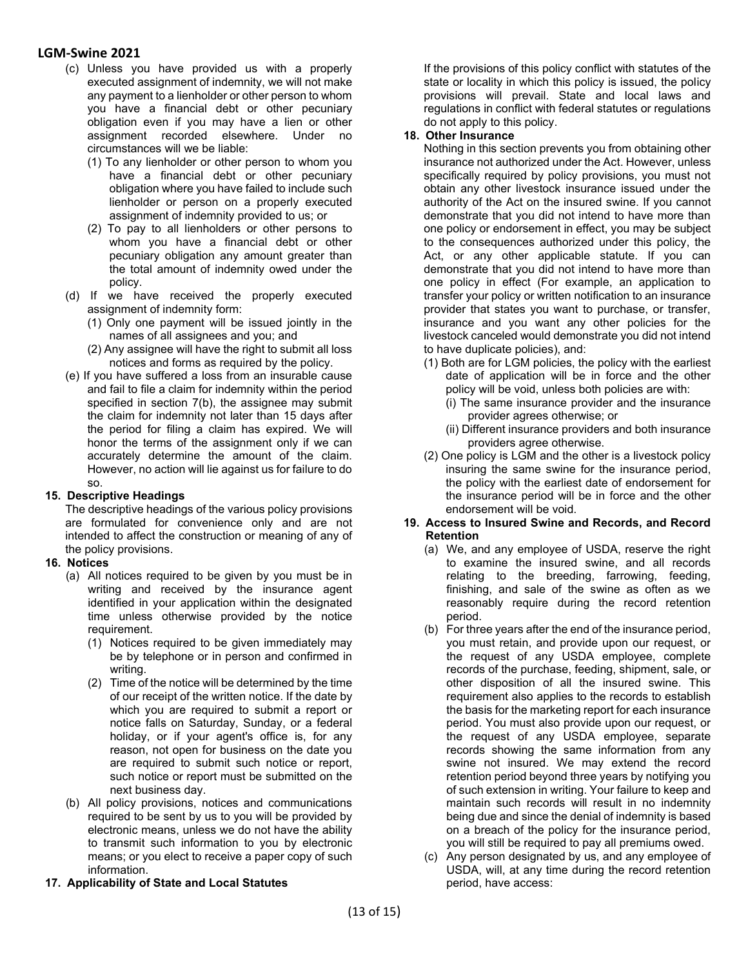- (c) Unless you have provided us with a properly executed assignment of indemnity, we will not make any payment to a lienholder or other person to whom you have a financial debt or other pecuniary obligation even if you may have a lien or other assignment recorded elsewhere. Under no circumstances will we be liable:
	- (1) To any lienholder or other person to whom you have a financial debt or other pecuniary obligation where you have failed to include such lienholder or person on a properly executed assignment of indemnity provided to us; or
	- (2) To pay to all lienholders or other persons to whom you have a financial debt or other pecuniary obligation any amount greater than the total amount of indemnity owed under the policy.
- (d) If we have received the properly executed assignment of indemnity form:
	- (1) Only one payment will be issued jointly in the names of all assignees and you; and
	- (2) Any assignee will have the right to submit all loss notices and forms as required by the policy.
- (e) If you have suffered a loss from an insurable cause and fail to file a claim for indemnity within the period specified in section 7(b), the assignee may submit the claim for indemnity not later than 15 days after the period for filing a claim has expired. We will honor the terms of the assignment only if we can accurately determine the amount of the claim. However, no action will lie against us for failure to do so.

#### **15. Descriptive Headings**

The descriptive headings of the various policy provisions are formulated for convenience only and are not intended to affect the construction or meaning of any of the policy provisions.

#### **16. Notices**

- (a) All notices required to be given by you must be in writing and received by the insurance agent identified in your application within the designated time unless otherwise provided by the notice requirement.
	- (1) Notices required to be given immediately may be by telephone or in person and confirmed in writing.
	- (2) Time of the notice will be determined by the time of our receipt of the written notice. If the date by which you are required to submit a report or notice falls on Saturday, Sunday, or a federal holiday, or if your agent's office is, for any reason, not open for business on the date you are required to submit such notice or report, such notice or report must be submitted on the next business day.
- (b) All policy provisions, notices and communications required to be sent by us to you will be provided by electronic means, unless we do not have the ability to transmit such information to you by electronic means; or you elect to receive a paper copy of such information.
- **17. Applicability of State and Local Statutes**

If the provisions of this policy conflict with statutes of the state or locality in which this policy is issued, the policy provisions will prevail. State and local laws and regulations in conflict with federal statutes or regulations do not apply to this policy.

#### **18. Other Insurance**

Nothing in this section prevents you from obtaining other insurance not authorized under the Act. However, unless specifically required by policy provisions, you must not obtain any other livestock insurance issued under the authority of the Act on the insured swine. If you cannot demonstrate that you did not intend to have more than one policy or endorsement in effect, you may be subject to the consequences authorized under this policy, the Act, or any other applicable statute. If you can demonstrate that you did not intend to have more than one policy in effect (For example, an application to transfer your policy or written notification to an insurance provider that states you want to purchase, or transfer, insurance and you want any other policies for the livestock canceled would demonstrate you did not intend to have duplicate policies), and:

- (1) Both are for LGM policies, the policy with the earliest date of application will be in force and the other policy will be void, unless both policies are with:
	- (i) The same insurance provider and the insurance provider agrees otherwise; or
	- (ii) Different insurance providers and both insurance providers agree otherwise.
- (2) One policy is LGM and the other is a livestock policy insuring the same swine for the insurance period, the policy with the earliest date of endorsement for the insurance period will be in force and the other endorsement will be void.

#### **19. Access to Insured Swine and Records, and Record Retention**

- (a) We, and any employee of USDA, reserve the right to examine the insured swine, and all records relating to the breeding, farrowing, feeding, finishing, and sale of the swine as often as we reasonably require during the record retention period.
- (b) For three years after the end of the insurance period, you must retain, and provide upon our request, or the request of any USDA employee, complete records of the purchase, feeding, shipment, sale, or other disposition of all the insured swine. This requirement also applies to the records to establish the basis for the marketing report for each insurance period. You must also provide upon our request, or the request of any USDA employee, separate records showing the same information from any swine not insured. We may extend the record retention period beyond three years by notifying you of such extension in writing. Your failure to keep and maintain such records will result in no indemnity being due and since the denial of indemnity is based on a breach of the policy for the insurance period, you will still be required to pay all premiums owed.
- (c) Any person designated by us, and any employee of USDA, will, at any time during the record retention period, have access: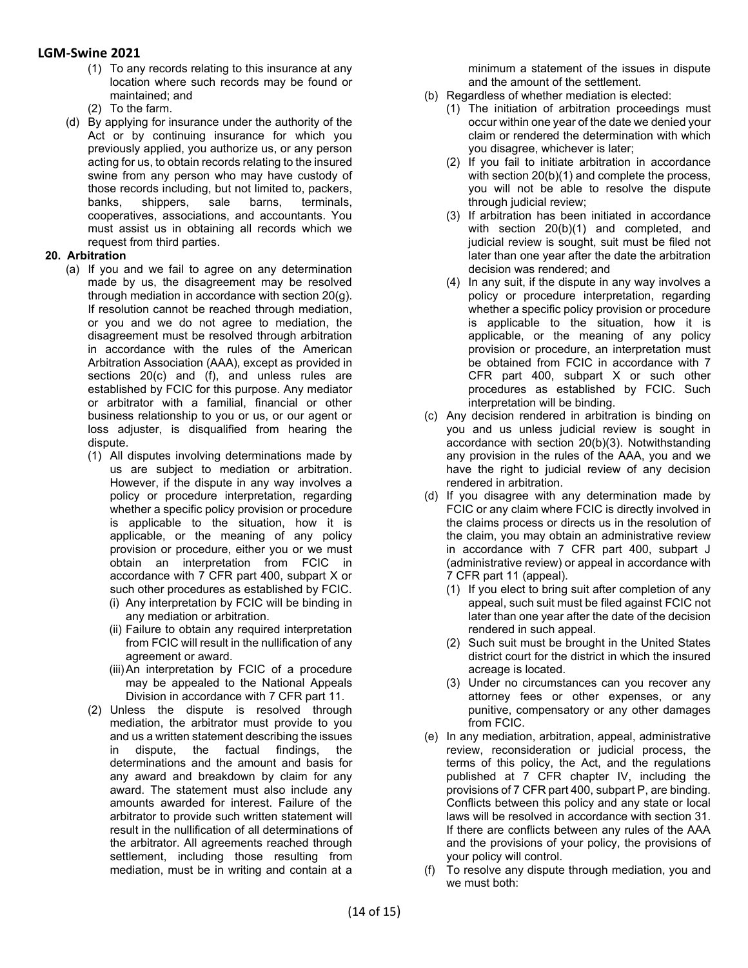- (1) To any records relating to this insurance at any location where such records may be found or maintained; and
- (2) To the farm.
- (d) By applying for insurance under the authority of the Act or by continuing insurance for which you previously applied, you authorize us, or any person acting for us, to obtain records relating to the insured swine from any person who may have custody of those records including, but not limited to, packers, banks, shippers, sale barns, terminals, cooperatives, associations, and accountants. You must assist us in obtaining all records which we request from third parties.

#### **20. Arbitration**

- (a) If you and we fail to agree on any determination made by us, the disagreement may be resolved through mediation in accordance with section 20(g). If resolution cannot be reached through mediation, or you and we do not agree to mediation, the disagreement must be resolved through arbitration in accordance with the rules of the American Arbitration Association (AAA), except as provided in sections 20(c) and (f), and unless rules are established by FCIC for this purpose. Any mediator or arbitrator with a familial, financial or other business relationship to you or us, or our agent or loss adjuster, is disqualified from hearing the dispute.
	- (1) All disputes involving determinations made by us are subject to mediation or arbitration. However, if the dispute in any way involves a policy or procedure interpretation, regarding whether a specific policy provision or procedure is applicable to the situation, how it is applicable, or the meaning of any policy provision or procedure, either you or we must obtain an interpretation from FCIC in accordance with 7 CFR part 400, subpart X or such other procedures as established by FCIC. (i) Any interpretation by FCIC will be binding in
		- any mediation or arbitration. (ii) Failure to obtain any required interpretation
		- from FCIC will result in the nullification of any agreement or award.
		- (iii)An interpretation by FCIC of a procedure may be appealed to the National Appeals Division in accordance with 7 CFR part 11.
	- (2) Unless the dispute is resolved through mediation, the arbitrator must provide to you and us a written statement describing the issues in dispute, the factual findings, the determinations and the amount and basis for any award and breakdown by claim for any award. The statement must also include any amounts awarded for interest. Failure of the arbitrator to provide such written statement will result in the nullification of all determinations of the arbitrator. All agreements reached through settlement, including those resulting from mediation, must be in writing and contain at a

minimum a statement of the issues in dispute and the amount of the settlement.

- (b) Regardless of whether mediation is elected:
	- (1) The initiation of arbitration proceedings must occur within one year of the date we denied your claim or rendered the determination with which you disagree, whichever is later;
	- (2) If you fail to initiate arbitration in accordance with section 20(b)(1) and complete the process, you will not be able to resolve the dispute through judicial review;
	- (3) If arbitration has been initiated in accordance with section 20(b)(1) and completed, and judicial review is sought, suit must be filed not later than one year after the date the arbitration decision was rendered; and
	- (4) In any suit, if the dispute in any way involves a policy or procedure interpretation, regarding whether a specific policy provision or procedure is applicable to the situation, how it is applicable, or the meaning of any policy provision or procedure, an interpretation must be obtained from FCIC in accordance with 7 CFR part 400, subpart X or such other procedures as established by FCIC. Such interpretation will be binding.
- (c) Any decision rendered in arbitration is binding on you and us unless judicial review is sought in accordance with section 20(b)(3). Notwithstanding any provision in the rules of the AAA, you and we have the right to judicial review of any decision rendered in arbitration.
- (d) If you disagree with any determination made by FCIC or any claim where FCIC is directly involved in the claims process or directs us in the resolution of the claim, you may obtain an administrative review in accordance with 7 CFR part 400, subpart J (administrative review) or appeal in accordance with 7 CFR part 11 (appeal).
	- (1) If you elect to bring suit after completion of any appeal, such suit must be filed against FCIC not later than one year after the date of the decision rendered in such appeal.
	- (2) Such suit must be brought in the United States district court for the district in which the insured acreage is located.
	- (3) Under no circumstances can you recover any attorney fees or other expenses, or any punitive, compensatory or any other damages from FCIC.
- (e) In any mediation, arbitration, appeal, administrative review, reconsideration or judicial process, the terms of this policy, the Act, and the regulations published at 7 CFR chapter IV, including the provisions of 7 CFR part 400, subpart P, are binding. Conflicts between this policy and any state or local laws will be resolved in accordance with section 31. If there are conflicts between any rules of the AAA and the provisions of your policy, the provisions of your policy will control.
- (f) To resolve any dispute through mediation, you and we must both: